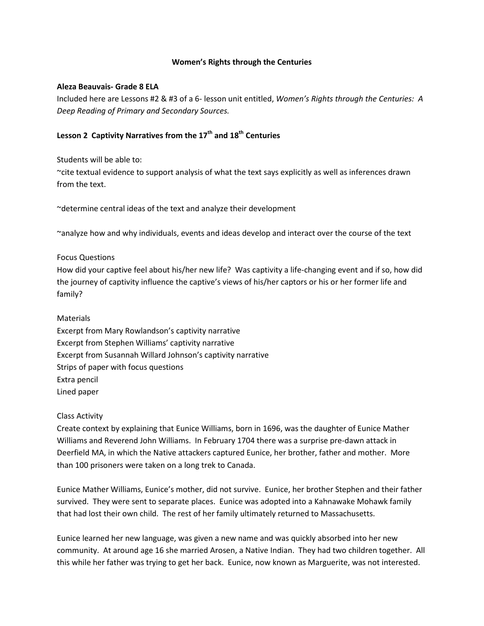#### **Women's Rights through the Centuries**

#### **Aleza Beauvais- Grade 8 ELA**

Included here are Lessons #2 & #3 of a 6- lesson unit entitled, *Women's Rights through the Centuries: A Deep Reading of Primary and Secondary Sources.*

# Lesson 2 Captivity Narratives from the 17<sup>th</sup> and 18<sup>th</sup> Centuries

Students will be able to:

~cite textual evidence to support analysis of what the text says explicitly as well as inferences drawn from the text.

~determine central ideas of the text and analyze their development

~analyze how and why individuals, events and ideas develop and interact over the course of the text

#### Focus Questions

How did your captive feel about his/her new life? Was captivity a life-changing event and if so, how did the journey of captivity influence the captive's views of his/her captors or his or her former life and family?

### Materials

Excerpt from Mary Rowlandson's captivity narrative Excerpt from Stephen Williams' captivity narrative Excerpt from Susannah Willard Johnson's captivity narrative Strips of paper with focus questions Extra pencil Lined paper

#### Class Activity

Create context by explaining that Eunice Williams, born in 1696, was the daughter of Eunice Mather Williams and Reverend John Williams. In February 1704 there was a surprise pre-dawn attack in Deerfield MA, in which the Native attackers captured Eunice, her brother, father and mother. More than 100 prisoners were taken on a long trek to Canada.

Eunice Mather Williams, Eunice's mother, did not survive. Eunice, her brother Stephen and their father survived. They were sent to separate places. Eunice was adopted into a Kahnawake Mohawk family that had lost their own child. The rest of her family ultimately returned to Massachusetts.

Eunice learned her new language, was given a new name and was quickly absorbed into her new community. At around age 16 she married Arosen, a Native Indian. They had two children together. All this while her father was trying to get her back. Eunice, now known as Marguerite, was not interested.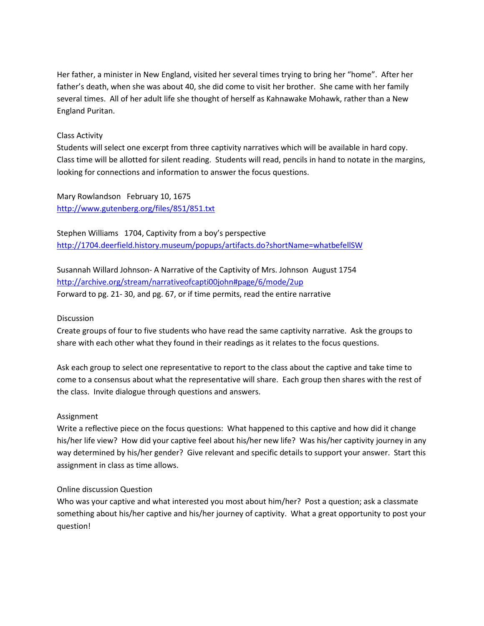Her father, a minister in New England, visited her several times trying to bring her "home". After her father's death, when she was about 40, she did come to visit her brother. She came with her family several times. All of her adult life she thought of herself as Kahnawake Mohawk, rather than a New England Puritan.

# Class Activity

Students will select one excerpt from three captivity narratives which will be available in hard copy. Class time will be allotted for silent reading. Students will read, pencils in hand to notate in the margins, looking for connections and information to answer the focus questions.

Mary Rowlandson February 10, 1675 <http://www.gutenberg.org/files/851/851.txt>

Stephen Williams 1704, Captivity from a boy's perspective <http://1704.deerfield.history.museum/popups/artifacts.do?shortName=whatbefellSW>

Susannah Willard Johnson- A Narrative of the Captivity of Mrs. Johnson August 1754 <http://archive.org/stream/narrativeofcapti00john#page/6/mode/2up> Forward to pg. 21- 30, and pg. 67, or if time permits, read the entire narrative

### **Discussion**

Create groups of four to five students who have read the same captivity narrative. Ask the groups to share with each other what they found in their readings as it relates to the focus questions.

Ask each group to select one representative to report to the class about the captive and take time to come to a consensus about what the representative will share. Each group then shares with the rest of the class. Invite dialogue through questions and answers.

### Assignment

Write a reflective piece on the focus questions: What happened to this captive and how did it change his/her life view? How did your captive feel about his/her new life? Was his/her captivity journey in any way determined by his/her gender? Give relevant and specific details to support your answer. Start this assignment in class as time allows.

### Online discussion Question

Who was your captive and what interested you most about him/her? Post a question; ask a classmate something about his/her captive and his/her journey of captivity. What a great opportunity to post your question!